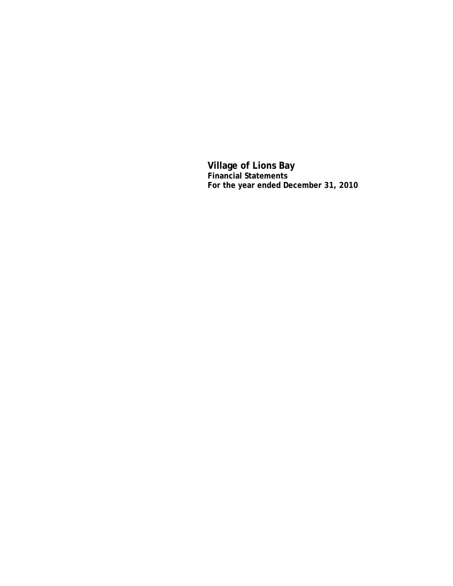**Village of Lions Bay Financial Statements For the year ended December 31, 2010**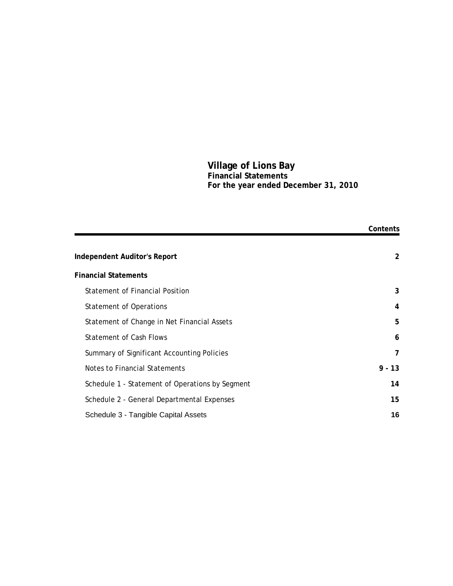## **Village of Lions Bay Financial Statements For the year ended December 31, 2010**

|                                                 | Contents |
|-------------------------------------------------|----------|
|                                                 |          |
| <b>Independent Auditor's Report</b>             | 2        |
| <b>Financial Statements</b>                     |          |
| Statement of Financial Position                 | 3        |
| <b>Statement of Operations</b>                  | 4        |
| Statement of Change in Net Financial Assets     | 5        |
| <b>Statement of Cash Flows</b>                  | 6        |
| Summary of Significant Accounting Policies      | 7        |
| Notes to Financial Statements                   | $9 - 13$ |
| Schedule 1 - Statement of Operations by Segment | 14       |
| Schedule 2 - General Departmental Expenses      | 15       |
| Schedule 3 - Tangible Capital Assets            | 16       |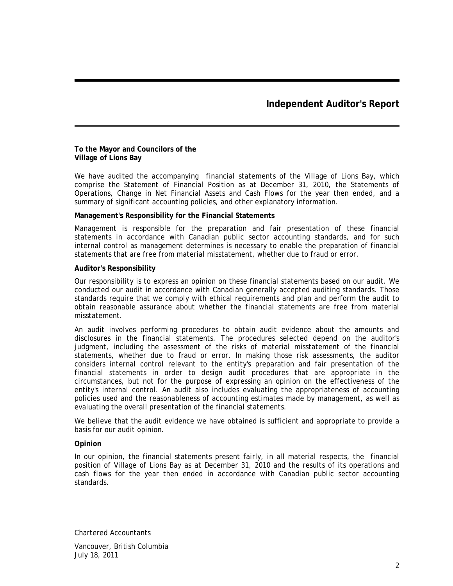### **To the Mayor and Councilors of the Village of Lions Bay**

We have audited the accompanying financial statements of the Village of Lions Bay, which comprise the Statement of Financial Position as at December 31, 2010, the Statements of Operations, Change in Net Financial Assets and Cash Flows for the year then ended, and a summary of significant accounting policies, and other explanatory information.

### **Management's Responsibility for the Financial Statements**

Management is responsible for the preparation and fair presentation of these financial statements in accordance with Canadian public sector accounting standards, and for such internal control as management determines is necessary to enable the preparation of financial statements that are free from material misstatement, whether due to fraud or error.

#### **Auditor's Responsibility**

Our responsibility is to express an opinion on these financial statements based on our audit. We conducted our audit in accordance with Canadian generally accepted auditing standards. Those standards require that we comply with ethical requirements and plan and perform the audit to obtain reasonable assurance about whether the financial statements are free from material misstatement.

An audit involves performing procedures to obtain audit evidence about the amounts and disclosures in the financial statements. The procedures selected depend on the auditor's judgment, including the assessment of the risks of material misstatement of the financial statements, whether due to fraud or error. In making those risk assessments, the auditor considers internal control relevant to the entity's preparation and fair presentation of the financial statements in order to design audit procedures that are appropriate in the circumstances, but not for the purpose of expressing an opinion on the effectiveness of the entity's internal control. An audit also includes evaluating the appropriateness of accounting policies used and the reasonableness of accounting estimates made by management, as well as evaluating the overall presentation of the financial statements.

We believe that the audit evidence we have obtained is sufficient and appropriate to provide a basis for our audit opinion.

#### **Opinion**

In our opinion, the financial statements present fairly, in all material respects, the financial position of Village of Lions Bay as at December 31, 2010 and the results of its operations and cash flows for the year then ended in accordance with Canadian public sector accounting standards.

Chartered Accountants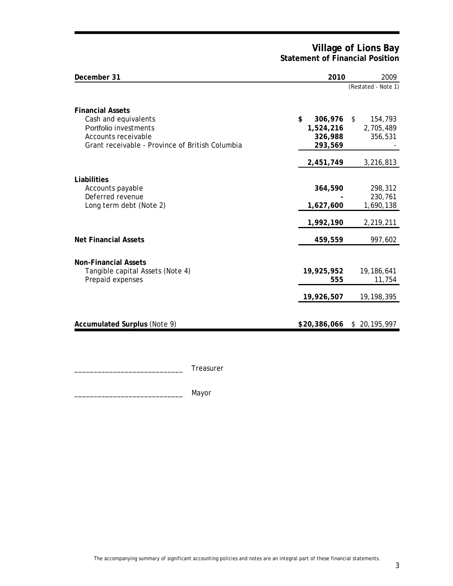## **Village of Lions Bay Statement of Financial Position**

| 2010                       | 2009                            |
|----------------------------|---------------------------------|
|                            | (Restated - Note 1)             |
| \$<br>306,976<br>1,524,216 | \$<br>154,793<br>2,705,489      |
| 293,569                    | 356,531                         |
| 2,451,749                  | 3,216,813                       |
| 364,590<br>1,627,600       | 298,312<br>230,761<br>1,690,138 |
| 1,992,190                  | 2,219,211                       |
| 459,559                    | 997,602                         |
| 19,925,952<br>555          | 19,186,641<br>11,754            |
| 19,926,507                 | 19,198,395                      |
|                            | \$20,195,997                    |
|                            | 326,988<br>\$20,386,066         |

\_\_\_\_\_\_\_\_\_\_\_\_\_\_\_\_\_\_\_\_\_\_\_\_\_\_\_\_ Treasurer

\_\_\_\_\_\_\_\_\_\_\_\_\_\_\_\_\_\_\_\_\_\_\_\_\_\_\_\_ Mayor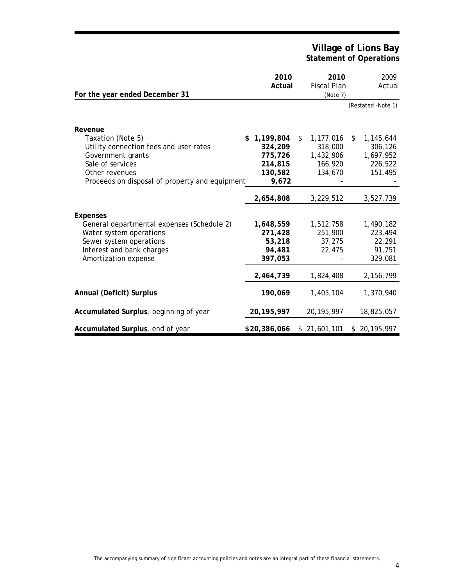# **Village of Lions Bay Statement of Operations**

|                                                                                                                                                                          | 2010                                                                 | 2010<br><b>Fiscal Plan</b><br>Actual                          |                                                               |
|--------------------------------------------------------------------------------------------------------------------------------------------------------------------------|----------------------------------------------------------------------|---------------------------------------------------------------|---------------------------------------------------------------|
| For the year ended December 31                                                                                                                                           |                                                                      | (Note 7)                                                      | Actual                                                        |
|                                                                                                                                                                          |                                                                      |                                                               | (Restated -Note 1)                                            |
| Revenue                                                                                                                                                                  |                                                                      |                                                               |                                                               |
| Taxation (Note 5)<br>Utility connection fees and user rates<br>Government grants<br>Sale of services<br>Other revenues<br>Proceeds on disposal of property and equipment | 1,199,804<br>\$<br>324,209<br>775,726<br>214,815<br>130,582<br>9,672 | 1,177,016<br>\$<br>318,000<br>1,432,906<br>166,920<br>134,670 | \$<br>1,145,644<br>306,126<br>1,697,952<br>226,522<br>151,495 |
|                                                                                                                                                                          | 2,654,808                                                            | 3,229,512                                                     | 3,527,739                                                     |
| <b>Expenses</b><br>General departmental expenses (Schedule 2)<br>Water system operations<br>Sewer system operations<br>Interest and bank charges<br>Amortization expense | 1,648,559<br>271,428<br>53,218<br>94,481<br>397,053                  | 1,512,758<br>251,900<br>37,275<br>22,475                      | 1,490,182<br>223,494<br>22,291<br>91,751<br>329,081           |
|                                                                                                                                                                          | 2,464,739                                                            | 1,824,408                                                     | 2,156,799                                                     |
| Annual (Deficit) Surplus                                                                                                                                                 | 190,069                                                              | 1,405,104                                                     | 1,370,940                                                     |
| Accumulated Surplus, beginning of year                                                                                                                                   | 20,195,997                                                           | 20, 195, 997                                                  | 18,825,057                                                    |
| Accumulated Surplus, end of year                                                                                                                                         | \$20,386,066                                                         | \$21,601,101                                                  | \$20,195,997                                                  |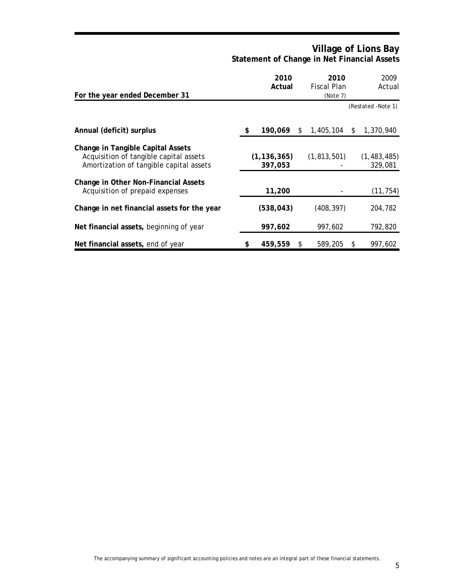# **Village of Lions Bay Statement of Change in Net Financial Assets**

|                                                                                                                        | 2010<br>Actual           | 2010<br>Fiscal Plan |    | 2009<br>Actual           |
|------------------------------------------------------------------------------------------------------------------------|--------------------------|---------------------|----|--------------------------|
| For the year ended December 31                                                                                         |                          | (Note 7)            |    | (Restated -Note 1)       |
| Annual (deficit) surplus                                                                                               | \$<br>190,069            | \$<br>1,405,104     | S. | 1,370,940                |
| Change in Tangible Capital Assets<br>Acquisition of tangible capital assets<br>Amortization of tangible capital assets | (1, 136, 365)<br>397,053 | (1, 813, 501)       |    | (1, 483, 485)<br>329,081 |
| Change in Other Non-Financial Assets<br>Acquisition of prepaid expenses                                                | 11,200                   |                     |    | (11, 754)                |
| Change in net financial assets for the year                                                                            | (538, 043)               | (408, 397)          |    | 204,782                  |
| Net financial assets, beginning of year                                                                                | 997,602                  | 997,602             |    | 792,820                  |
| Net financial assets, end of year                                                                                      | \$<br>459,559            | \$<br>589,205       | \$ | 997,602                  |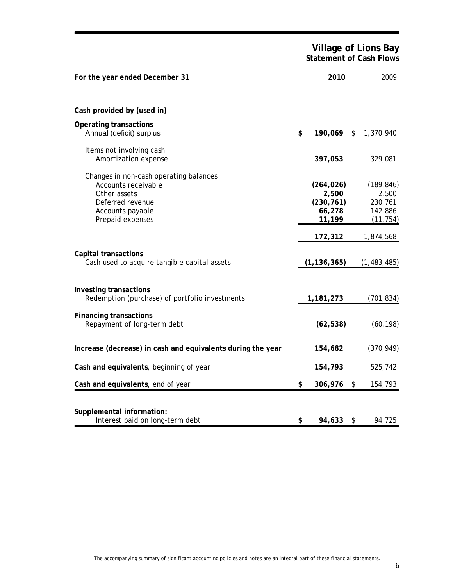## **Village of Lions Bay Statement of Cash Flows**

| For the year ended December 31                                                                                                            | 2010                                                             | 2009                                                                |
|-------------------------------------------------------------------------------------------------------------------------------------------|------------------------------------------------------------------|---------------------------------------------------------------------|
|                                                                                                                                           |                                                                  |                                                                     |
| Cash provided by (used in)                                                                                                                |                                                                  |                                                                     |
| <b>Operating transactions</b><br>Annual (deficit) surplus                                                                                 | \$<br>190,069                                                    | \$<br>1,370,940                                                     |
| Items not involving cash<br>Amortization expense                                                                                          | 397,053                                                          | 329,081                                                             |
| Changes in non-cash operating balances<br>Accounts receivable<br>Other assets<br>Deferred revenue<br>Accounts payable<br>Prepaid expenses | (264, 026)<br>2,500<br>(230, 761)<br>66,278<br>11,199<br>172,312 | (189, 846)<br>2,500<br>230,761<br>142,886<br>(11, 754)<br>1,874,568 |
| <b>Capital transactions</b><br>Cash used to acquire tangible capital assets                                                               | (1, 136, 365)                                                    | (1, 483, 485)                                                       |
| Investing transactions<br>Redemption (purchase) of portfolio investments                                                                  | 1,181,273                                                        | (701, 834)                                                          |
| <b>Financing transactions</b><br>Repayment of long-term debt                                                                              | (62, 538)                                                        | (60, 198)                                                           |
| Increase (decrease) in cash and equivalents during the year                                                                               | 154,682                                                          | (370, 949)                                                          |
| Cash and equivalents, beginning of year                                                                                                   | 154,793                                                          | 525,742                                                             |
| Cash and equivalents, end of year                                                                                                         | \$<br>306,976                                                    | \$<br>154,793                                                       |
| Supplemental information:<br>Interest paid on long-term debt                                                                              | \$<br>94,633                                                     | \$<br>94,725                                                        |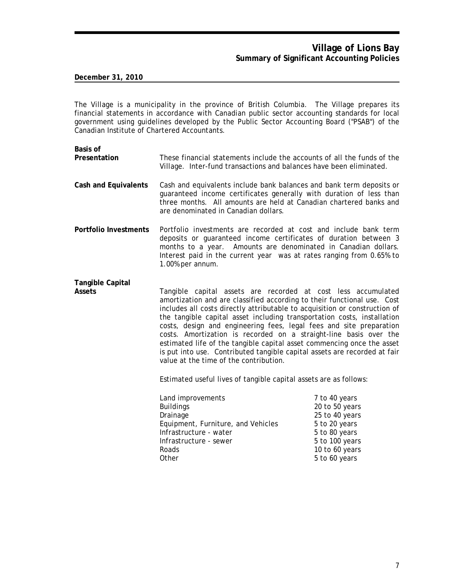## **Village of Lions Bay Summary of Significant Accounting Policies**

### **December 31, 2010**

The Village is a municipality in the province of British Columbia. The Village prepares its financial statements in accordance with Canadian public sector accounting standards for local government using guidelines developed by the Public Sector Accounting Board ("PSAB") of the Canadian Institute of Chartered Accountants.

| Basis of                     |                                                                                                                                                                                                                                                                                                                                                                                                                                                                                                                                                                                                                                                |                                              |
|------------------------------|------------------------------------------------------------------------------------------------------------------------------------------------------------------------------------------------------------------------------------------------------------------------------------------------------------------------------------------------------------------------------------------------------------------------------------------------------------------------------------------------------------------------------------------------------------------------------------------------------------------------------------------------|----------------------------------------------|
| Presentation                 | These financial statements include the accounts of all the funds of the<br>Village. Inter-fund transactions and balances have been eliminated.                                                                                                                                                                                                                                                                                                                                                                                                                                                                                                 |                                              |
| Cash and Equivalents         | Cash and equivalents include bank balances and bank term deposits or<br>guaranteed income certificates generally with duration of less than<br>three months. All amounts are held at Canadian chartered banks and<br>are denominated in Canadian dollars.                                                                                                                                                                                                                                                                                                                                                                                      |                                              |
| <b>Portfolio Investments</b> | Portfolio investments are recorded at cost and include bank term<br>deposits or guaranteed income certificates of duration between 3<br>months to a year.<br>Interest paid in the current year was at rates ranging from 0.65% to<br>1.00% per annum.                                                                                                                                                                                                                                                                                                                                                                                          | Amounts are denominated in Canadian dollars. |
| <b>Tangible Capital</b>      |                                                                                                                                                                                                                                                                                                                                                                                                                                                                                                                                                                                                                                                |                                              |
| Assets                       | Tangible capital assets are recorded at cost less accumulated<br>amortization and are classified according to their functional use. Cost<br>includes all costs directly attributable to acquisition or construction of<br>the tangible capital asset including transportation costs, installation<br>costs, design and engineering fees, legal fees and site preparation<br>costs. Amortization is recorded on a straight-line basis over the<br>estimated life of the tangible capital asset commencing once the asset<br>is put into use. Contributed tangible capital assets are recorded at fair<br>value at the time of the contribution. |                                              |
|                              | Estimated useful lives of tangible capital assets are as follows:                                                                                                                                                                                                                                                                                                                                                                                                                                                                                                                                                                              |                                              |
|                              | Land improvements<br><b>Buildings</b>                                                                                                                                                                                                                                                                                                                                                                                                                                                                                                                                                                                                          | 7 to 40 years<br>20 to 50 years              |
|                              | Drainage                                                                                                                                                                                                                                                                                                                                                                                                                                                                                                                                                                                                                                       | 25 to 40 years                               |
|                              | Equipment, Furniture, and Vehicles<br>Infrastructure - water                                                                                                                                                                                                                                                                                                                                                                                                                                                                                                                                                                                   | 5 to 20 years<br>5 to 80 years               |
|                              | Infrastructure - sewer                                                                                                                                                                                                                                                                                                                                                                                                                                                                                                                                                                                                                         | 5 to 100 years                               |
|                              | Roads                                                                                                                                                                                                                                                                                                                                                                                                                                                                                                                                                                                                                                          | 10 to 60 years                               |
|                              | Other                                                                                                                                                                                                                                                                                                                                                                                                                                                                                                                                                                                                                                          | 5 to 60 years                                |
|                              |                                                                                                                                                                                                                                                                                                                                                                                                                                                                                                                                                                                                                                                |                                              |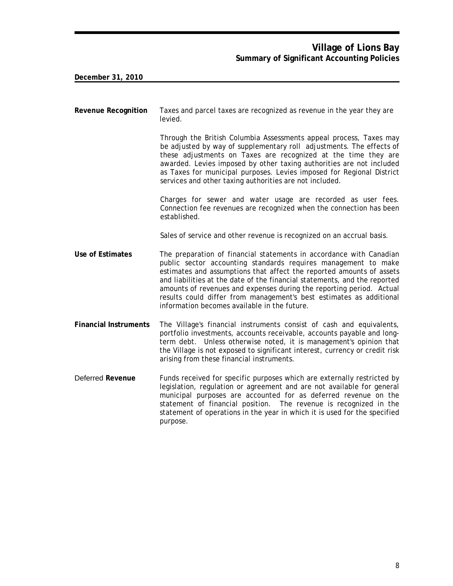## **Village of Lions Bay Summary of Significant Accounting Policies**

**December 31, 2010**

| <b>Revenue Recognition</b>   | Taxes and parcel taxes are recognized as revenue in the year they are<br>levied.                                                                                                                                                                                                                                                                                                                                                                                                          |
|------------------------------|-------------------------------------------------------------------------------------------------------------------------------------------------------------------------------------------------------------------------------------------------------------------------------------------------------------------------------------------------------------------------------------------------------------------------------------------------------------------------------------------|
|                              | Through the British Columbia Assessments appeal process, Taxes may<br>be adjusted by way of supplementary roll adjustments. The effects of<br>these adjustments on Taxes are recognized at the time they are<br>awarded. Levies imposed by other taxing authorities are not included<br>as Taxes for municipal purposes. Levies imposed for Regional District<br>services and other taxing authorities are not included.                                                                  |
|                              | Charges for sewer and water usage are recorded as user fees.<br>Connection fee revenues are recognized when the connection has been<br>established.                                                                                                                                                                                                                                                                                                                                       |
|                              | Sales of service and other revenue is recognized on an accrual basis.                                                                                                                                                                                                                                                                                                                                                                                                                     |
| Use of Estimates             | The preparation of financial statements in accordance with Canadian<br>public sector accounting standards requires management to make<br>estimates and assumptions that affect the reported amounts of assets<br>and liabilities at the date of the financial statements, and the reported<br>amounts of revenues and expenses during the reporting period. Actual<br>results could differ from management's best estimates as additional<br>information becomes available in the future. |
| <b>Financial Instruments</b> | The Village's financial instruments consist of cash and equivalents,<br>portfolio investments, accounts receivable, accounts payable and long-<br>term debt. Unless otherwise noted, it is management's opinion that<br>the Village is not exposed to significant interest, currency or credit risk<br>arising from these financial instruments.                                                                                                                                          |
| <b>Deferred Revenue</b>      | Funds received for specific purposes which are externally restricted by<br>legislation, regulation or agreement and are not available for general<br>municipal purposes are accounted for as deferred revenue on the<br>statement of financial position. The revenue is recognized in the<br>statement of operations in the year in which it is used for the specified<br>purpose.                                                                                                        |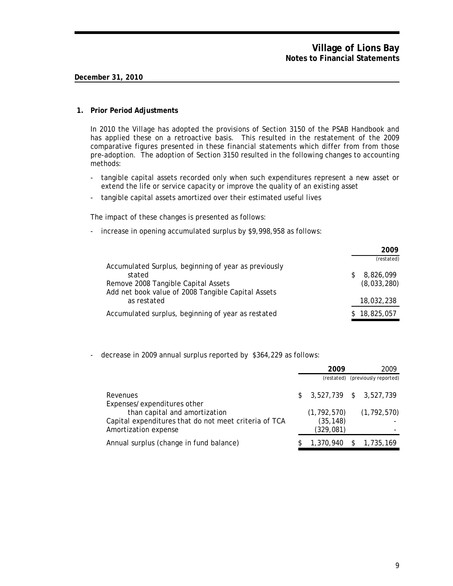### **1. Prior Period Adjustments**

In 2010 the Village has adopted the provisions of Section 3150 of the PSAB Handbook and has applied these on a retroactive basis. This resulted in the restatement of the 2009 comparative figures presented in these financial statements which differ from from those pre-adoption. The adoption of Section 3150 resulted in the following changes to accounting methods:

- tangible capital assets recorded only when such expenditures represent a new asset or extend the life or service capacity or improve the quality of an existing asset
- tangible capital assets amortized over their estimated useful lives

The impact of these changes is presented as follows:

- increase in opening accumulated surplus by \$9,998,958 as follows:

|                                                                                           | 2009        |
|-------------------------------------------------------------------------------------------|-------------|
| Accumulated Surplus, beginning of year as previously                                      | (restated)  |
| stated                                                                                    | 8.826.099   |
| Remove 2008 Tangible Capital Assets<br>Add net book value of 2008 Tangible Capital Assets | (8,033,280) |
| as restated                                                                               | 18,032,238  |
| Accumulated surplus, beginning of year as restated                                        | 18,825,057  |

- decrease in 2009 annual surplus reported by \$364,229 as follows:

|                                                       | 2009                      |    | 2009                             |
|-------------------------------------------------------|---------------------------|----|----------------------------------|
|                                                       |                           |    | (restated) (previously reported) |
| Revenues                                              | $$3,527,739$ $$3,527,739$ |    |                                  |
| Expenses/expenditures other                           |                           |    |                                  |
| than capital and amortization                         | (1, 792, 570)             |    | (1, 792, 570)                    |
| Capital expenditures that do not meet criteria of TCA | (35, 148)                 |    |                                  |
| Amortization expense                                  | (329, 081)                |    |                                  |
| Annual surplus (change in fund balance)               | 1,370,940                 | S. | 1,735,169                        |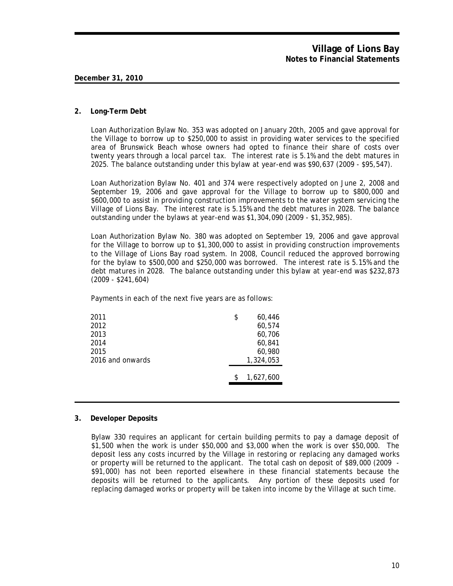### **2. Long-Term Debt**

Loan Authorization Bylaw No. 353 was adopted on January 20th, 2005 and gave approval for the Village to borrow up to \$250,000 to assist in providing water services to the specified area of Brunswick Beach whose owners had opted to finance their share of costs over twenty years through a local parcel tax. The interest rate is 5.1% and the debt matures in 2025. The balance outstanding under this bylaw at year-end was \$90,637 (2009 - \$95,547).

Loan Authorization Bylaw No. 401 and 374 were respectively adopted on June 2, 2008 and September 19, 2006 and gave approval for the Village to borrow up to \$800,000 and \$600,000 to assist in providing construction improvements to the water system servicing the Village of Lions Bay. The interest rate is 5.15% and the debt matures in 2028. The balance outstanding under the bylaws at year-end was \$1,304,090 (2009 - \$1,352,985).

Loan Authorization Bylaw No. 380 was adopted on September 19, 2006 and gave approval for the Village to borrow up to \$1,300,000 to assist in providing construction improvements to the Village of Lions Bay road system. In 2008, Council reduced the approved borrowing for the bylaw to \$500,000 and \$250,000 was borrowed. The interest rate is 5.15% and the debt matures in 2028. The balance outstanding under this bylaw at year-end was \$232,873 (2009 - \$241,604)

Payments in each of the next five years are as follows:

| 2011             | \$ | 60,446    |
|------------------|----|-----------|
| 2012             |    | 60,574    |
| 2013             |    | 60,706    |
| 2014             |    | 60,841    |
| 2015             |    | 60,980    |
| 2016 and onwards |    | 1,324,053 |
|                  |    |           |
|                  | S  | 1,627,600 |
|                  |    |           |

#### **3. Developer Deposits**

Bylaw 330 requires an applicant for certain building permits to pay a damage deposit of \$1,500 when the work is under \$50,000 and \$3,000 when the work is over \$50,000. The deposit less any costs incurred by the Village in restoring or replacing any damaged works or property will be returned to the applicant. The total cash on deposit of \$89,000 (2009 - \$91,000) has not been reported elsewhere in these financial statements because the deposits will be returned to the applicants. Any portion of these deposits used for replacing damaged works or property will be taken into income by the Village at such time.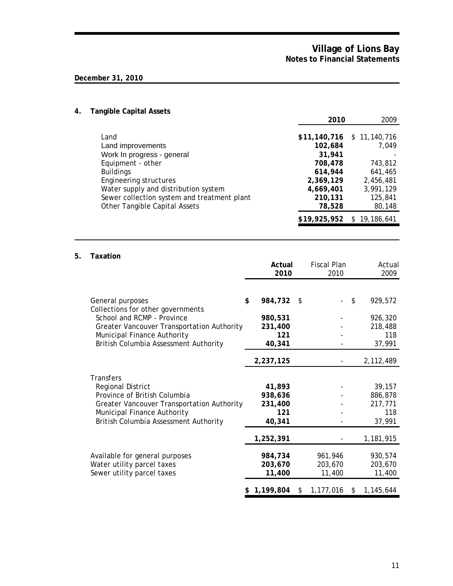## **Village of Lions Bay Notes to Financial Statements**

## **December 31, 2010**

# **4. Tangible Capital Assets**

|                                                                                                                                                                                                                                                    | 2010                                                                                   | 2009                                                                                                      |  |
|----------------------------------------------------------------------------------------------------------------------------------------------------------------------------------------------------------------------------------------------------|----------------------------------------------------------------------------------------|-----------------------------------------------------------------------------------------------------------|--|
| Land<br>Land improvements<br>Work In progress - general<br>Equipment - other<br><b>Buildings</b><br>Engineering structures<br>Water supply and distribution system<br>Sewer collection system and treatment plant<br>Other Tangible Capital Assets | 102,684<br>31,941<br>708,478<br>614,944<br>2,369,129<br>4,669,401<br>210,131<br>78,528 | $$11,140,716$ $$11,140,716$<br>7.049<br>743,812<br>641,465<br>2,456,481<br>3,991,129<br>125,841<br>80,148 |  |
|                                                                                                                                                                                                                                                    | \$19,925,952                                                                           | \$19,186,641                                                                                              |  |

### **5. Taxation**

|                                                       | Actual<br>2010 | <b>Fiscal Plan</b><br>2010 |    | Actual<br>2009 |
|-------------------------------------------------------|----------------|----------------------------|----|----------------|
| General purposes<br>Collections for other governments | \$<br>984,732  | \$                         | \$ | 929,572        |
| School and RCMP - Province                            | 980,531        |                            |    | 926,320        |
| Greater Vancouver Transportation Authority            | 231,400        |                            |    | 218,488        |
| Municipal Finance Authority                           | 121            |                            |    | 118            |
| British Columbia Assessment Authority                 | 40,341         |                            |    | 37,991         |
|                                                       | 2,237,125      |                            |    | 2,112,489      |
| <b>Transfers</b>                                      |                |                            |    |                |
| <b>Regional District</b>                              | 41,893         |                            |    | 39,157         |
| Province of British Columbia                          | 938,636        |                            |    | 886,878        |
| Greater Vancouver Transportation Authority            | 231,400        |                            |    | 217,771        |
| Municipal Finance Authority                           | 121            |                            |    | 118            |
| British Columbia Assessment Authority                 | 40,341         |                            |    | 37,991         |
|                                                       | 1,252,391      |                            |    | 1,181,915      |
| Available for general purposes                        | 984,734        | 961,946                    |    | 930,574        |
| Water utility parcel taxes                            | 203,670        | 203,670                    |    | 203,670        |
| Sewer utility parcel taxes                            | 11,400         | 11,400                     |    | 11,400         |
|                                                       | 1,199,804      | \$<br>1,177,016            | S  | 1,145,644      |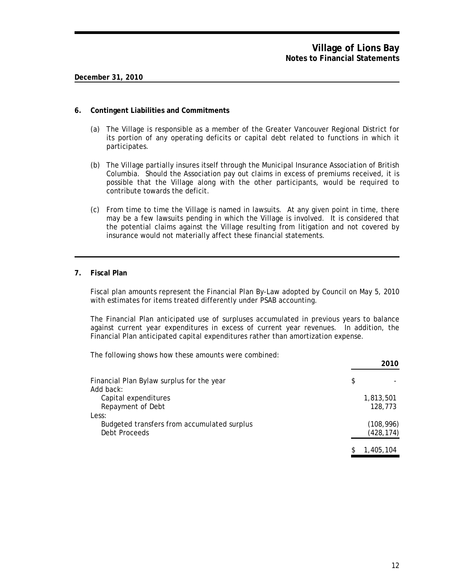#### **6. Contingent Liabilities and Commitments**

- (a) The Village is responsible as a member of the Greater Vancouver Regional District for its portion of any operating deficits or capital debt related to functions in which it participates.
- (b) The Village partially insures itself through the Municipal Insurance Association of British Columbia. Should the Association pay out claims in excess of premiums received, it is possible that the Village along with the other participants, would be required to contribute towards the deficit.
- (c) From time to time the Village is named in lawsuits. At any given point in time, there may be a few lawsuits pending in which the Village is involved. It is considered that the potential claims against the Village resulting from litigation and not covered by insurance would not materially affect these financial statements.

### **7. Fiscal Plan**

Fiscal plan amounts represent the Financial Plan By-Law adopted by Council on May 5, 2010 with estimates for items treated differently under PSAB accounting.

The Financial Plan anticipated use of surpluses accumulated in previous years to balance against current year expenditures in excess of current year revenues. In addition, the Financial Plan anticipated capital expenditures rather than amortization expense.

The following shows how these amounts were combined:

|                                             | ZUIU       |
|---------------------------------------------|------------|
| Financial Plan Bylaw surplus for the year   | \$         |
| Add back:                                   |            |
| Capital expenditures                        | 1,813,501  |
| Repayment of Debt                           | 128,773    |
| Less:                                       |            |
| Budgeted transfers from accumulated surplus | (108, 996) |
| Debt Proceeds                               | (428, 174) |
|                                             | 1,405,104  |
|                                             |            |

**2010**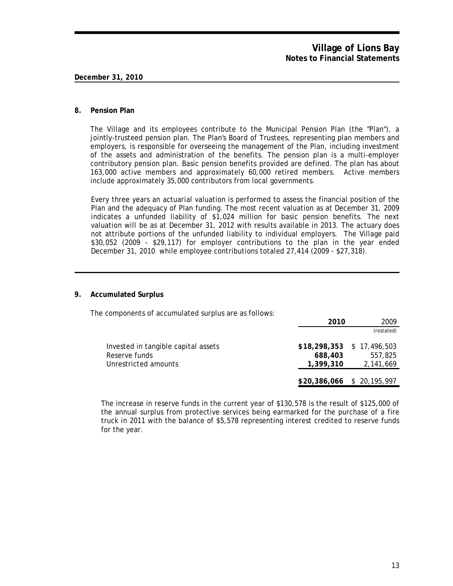#### **8. Pension Plan**

The Village and its employees contribute to the Municipal Pension Plan (the "Plan"), a jointly-trusteed pension plan. The Plan's Board of Trustees, representing plan members and employers, is responsible for overseeing the management of the Plan, including investment of the assets and administration of the benefits. The pension plan is a multi-employer contributory pension plan. Basic pension benefits provided are defined. The plan has about 163,000 active members and approximately 60,000 retired members. Active members include approximately 35,000 contributors from local governments.

Every three years an actuarial valuation is performed to assess the financial position of the Plan and the adequacy of Plan funding. The most recent valuation as at December 31, 2009 indicates a unfunded liability of \$1,024 million for basic pension benefits. The next valuation will be as at December 31, 2012 with results available in 2013. The actuary does not attribute portions of the unfunded liability to individual employers. The Village paid \$30,052 (2009 - \$29,117) for employer contributions to the plan in the year ended December 31, 2010 while employee contributions totaled 27,414 (2009 - \$27,318).

#### **9. Accumulated Surplus**

The components of accumulated surplus are as follows:

|                                     | 2010                        | 2009                        |
|-------------------------------------|-----------------------------|-----------------------------|
|                                     |                             | (restated)                  |
| Invested in tangible capital assets |                             | $$18,298,353 \$ 17,496,503$ |
| Reserve funds                       | 688,403                     | 557,825                     |
| Unrestricted amounts                | 1,399,310                   | 2,141,669                   |
|                                     | $$20,386,066$ $$20,195,997$ |                             |

The increase in reserve funds in the current year of \$130,578 is the result of \$125,000 of the annual surplus from protective services being earmarked for the purchase of a fire truck in 2011 with the balance of \$5,578 representing interest credited to reserve funds for the year.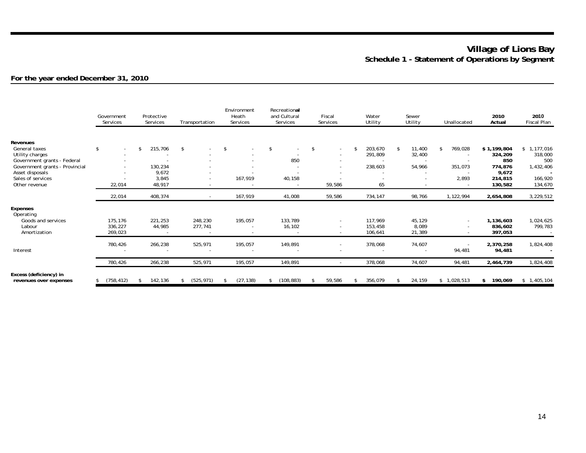## **Village of Lions Bay Schedule 1 - Statement of Operations by Segment**

# **For the year ended December 31, 2010**

|                                                                                                                                                                        | Government<br>Protective<br>Services<br>Services |                               |  |                                                                            | Transportation |                    | Environment<br>Heath<br>Services |                                                                 | Recreational<br>and Cultural<br>Services |                                                     | Fiscal<br>Services |                                                                                                                                            | Water<br>Utility |                                                                                             | Sewer<br>Utility |                            | Unallocated | 2010<br>Actual              | 2010<br>Fiscal Plan                                                     |                                                                  |
|------------------------------------------------------------------------------------------------------------------------------------------------------------------------|--------------------------------------------------|-------------------------------|--|----------------------------------------------------------------------------|----------------|--------------------|----------------------------------|-----------------------------------------------------------------|------------------------------------------|-----------------------------------------------------|--------------------|--------------------------------------------------------------------------------------------------------------------------------------------|------------------|---------------------------------------------------------------------------------------------|------------------|----------------------------|-------------|-----------------------------|-------------------------------------------------------------------------|------------------------------------------------------------------|
| Revenues<br>General taxes<br>Utility charges<br>Government grants - Federal<br>Government grants - Provincial<br>Asset disposals<br>Sales of services<br>Other revenue | \$                                               | $\sim$<br>22,014              |  | 215,706<br>$\overline{\phantom{a}}$<br>130,234<br>9,672<br>3,845<br>48,917 | -\$            | $\sim$<br>$\sim$   | \$                               | $\overline{\phantom{a}}$<br>$\overline{\phantom{a}}$<br>167,919 | \$                                       | $\overline{\phantom{a}}$<br>$\sim$<br>850<br>40,158 | \$                 | $\sim$<br>$\sim$<br>$\overline{\phantom{a}}$<br>$\overline{\phantom{a}}$<br>$\overline{\phantom{a}}$<br>$\overline{\phantom{a}}$<br>59,586 | \$               | 203,670<br>291,809<br>238,603<br>$\overline{\phantom{a}}$<br>$\overline{\phantom{a}}$<br>65 | \$               | 11,400<br>32,400<br>54,966 | \$          | 769,028<br>351,073<br>2,893 | \$1,199,804<br>324,209<br>850<br>774,876<br>9,672<br>214,815<br>130,582 | \$1,177,016<br>318,000<br>500<br>1,432,406<br>166,920<br>134,670 |
|                                                                                                                                                                        |                                                  | 22,014                        |  | 408,374                                                                    |                | $\sim$             |                                  | 167,919                                                         |                                          | 41,008                                              |                    | 59,586                                                                                                                                     |                  | 734,147                                                                                     |                  | 98,766                     |             | 1,122,994                   | 2,654,808                                                               | 3,229,512                                                        |
| Expenses<br>Operating<br>Goods and services<br>Labour<br>Amortization                                                                                                  |                                                  | 175,176<br>336,227<br>269,023 |  | 221,253<br>44,985                                                          |                | 248,230<br>277,741 |                                  | 195,057                                                         |                                          | 133,789<br>16,102                                   |                    | $\sim$<br>$\sim$<br>$\overline{\phantom{a}}$                                                                                               |                  | 117,969<br>153,458<br>106,641                                                               |                  | 45,129<br>8,089<br>21,389  |             | $\overline{\phantom{0}}$    | 1,136,603<br>836,602<br>397,053                                         | 1,024,625<br>799,783                                             |
| Interest                                                                                                                                                               |                                                  | 780,426                       |  | 266,238                                                                    |                | 525,971            |                                  | 195,057                                                         |                                          | 149,891                                             |                    | $\sim$                                                                                                                                     |                  | 378,068                                                                                     |                  | 74,607                     |             | 94,481                      | 2,370,258<br>94,481                                                     | 1,824,408                                                        |
|                                                                                                                                                                        |                                                  | 780,426                       |  | 266,238                                                                    |                | 525,971            |                                  | 195,057                                                         |                                          | 149,891                                             |                    | $\overline{\phantom{a}}$                                                                                                                   |                  | 378,068                                                                                     |                  | 74,607                     |             | 94,481                      | 2,464,739                                                               | 1,824,408                                                        |
| Excess (deficiency) in<br>revenues over expenses                                                                                                                       |                                                  | (758, 412)                    |  | 142,136                                                                    | -S             | (525, 971)         | \$                               | (27, 138)                                                       | -S                                       | (108, 883)                                          | Ŝ.                 | 59,586                                                                                                                                     | \$               | 356,079                                                                                     | \$               | 24,159                     |             | \$1,028,513                 | 190,069<br>\$                                                           | \$1,405,104                                                      |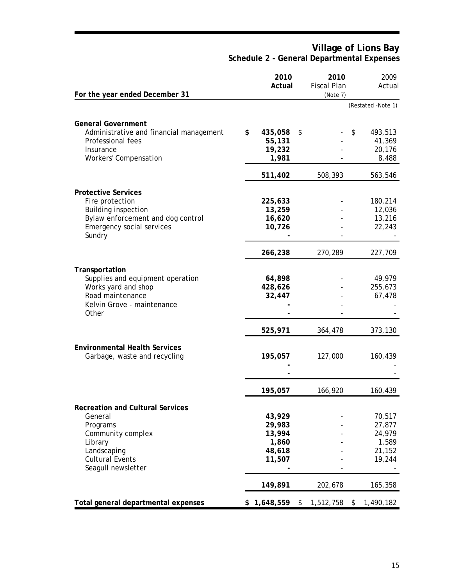# **Village of Lions Bay Schedule 2 - General Departmental Expenses**

| For the year ended December 31                                                                                                                                 | 2010<br>Actual                                          | 2010<br><b>Fiscal Plan</b><br>(Note 7) | 2009<br>Actual                                          |
|----------------------------------------------------------------------------------------------------------------------------------------------------------------|---------------------------------------------------------|----------------------------------------|---------------------------------------------------------|
|                                                                                                                                                                |                                                         |                                        | (Restated -Note 1)                                      |
| <b>General Government</b><br>Administrative and financial management<br>Professional fees<br>Insurance<br><b>Workers' Compensation</b>                         | \$<br>435,058<br>55,131<br>19,232<br>1,981              | \$                                     | \$<br>493,513<br>41,369<br>20,176<br>8,488              |
|                                                                                                                                                                | 511,402                                                 | 508,393                                | 563,546                                                 |
| <b>Protective Services</b><br>Fire protection<br><b>Building inspection</b><br>Bylaw enforcement and dog control<br><b>Emergency social services</b><br>Sundry | 225,633<br>13,259<br>16,620<br>10,726                   |                                        | 180,214<br>12,036<br>13,216<br>22,243                   |
|                                                                                                                                                                | 266,238                                                 | 270,289                                | 227,709                                                 |
| Transportation<br>Supplies and equipment operation<br>Works yard and shop<br>Road maintenance<br>Kelvin Grove - maintenance<br>Other                           | 64,898<br>428,626<br>32,447                             |                                        | 49,979<br>255,673<br>67,478                             |
|                                                                                                                                                                | 525,971                                                 | 364,478                                | 373,130                                                 |
| <b>Environmental Health Services</b><br>Garbage, waste and recycling                                                                                           | 195,057                                                 | 127,000                                | 160,439                                                 |
|                                                                                                                                                                | 195,057                                                 | 166,920                                | 160,439                                                 |
| <b>Recreation and Cultural Services</b><br>General<br>Programs<br>Community complex<br>Library<br>Landscaping<br><b>Cultural Events</b><br>Seagull newsletter  | 43,929<br>29,983<br>13,994<br>1,860<br>48,618<br>11,507 |                                        | 70,517<br>27,877<br>24,979<br>1,589<br>21,152<br>19,244 |
|                                                                                                                                                                | 149,891                                                 | 202,678                                | 165,358                                                 |
| Total general departmental expenses                                                                                                                            | \$<br>1,648,559                                         | \$<br>1,512,758                        | \$<br>1,490,182                                         |